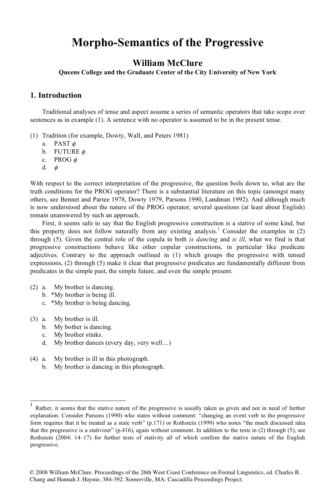# **Morpho-Semantics of the Progressive**

### **William McClure**

**Queens College and the Graduate Center of the City University of New York**

#### **1. Introduction**

Traditional analyses of tense and aspect assume a series of semantic operators that take scope over sentences as in example (1). A sentence with no operator is assumed to be in the present tense.

- (1) Tradition (for example, Dowty, Wall, and Peters 1981)
	- a. PAST  $\phi$
	- b. FUTURE  $\phi$
	- c. PROG  $\phi$
	- $d. \phi$

With respect to the correct interpretation of the progressive, the question boils down to, what are the truth conditions for the PROG operator? There is a substantial literature on this topic (amongst many others, see Bennet and Partee 1978, Dowty 1979, Parsons 1990, Landman 1992). And although much is now understood about the nature of the PROG operator, several questions (at least about English) remain unanswered by such an approach.

First, it seems safe to say that the English progressive construction is a stative of some kind, but this property does not follow naturally from any existing analysis.<sup>1</sup> Consider the examples in  $(2)$ through (5). Given the central role of the copula in both *is dancing* and *is ill*, what we find is that progressive constructions behave like other copular constructions, in particular like predicate adjectives. Contrary to the approach outlined in (1) which groups the progressive with tensed expressions, (2) through (5) make it clear that progressive predicates are fundamentally different from predicates in the simple past, the simple future, and even the simple present.

- (2) a. My brother is dancing.
	- b. \*My brother is being ill.
	- c. \*My brother is being dancing.
- (3) a. My brother is ill.
	- b. My bother is dancing.
	- c. My brother stinks.
	- d. My brother dances (every day, very well…)
- (4) a. My brother is ill in this photograph.
	- b. My brother is dancing in this photograph.

Rather, it seems that the stative nature of the progressive is usually taken as given and not in need of further explanation. Consider Parsons (1990) who states without comment: "changing an event verb to the progressive form requires that it be treated as a state verb" (p.171) or Rothstein (1999) who notes "the much discussed idea that the progressive is a stativizer" (p.416), again without comment. In addition to the tests in (2) through (5), see Rothstein (2004: 14–17) for further tests of stativity all of which confirm the stative nature of the English progressive.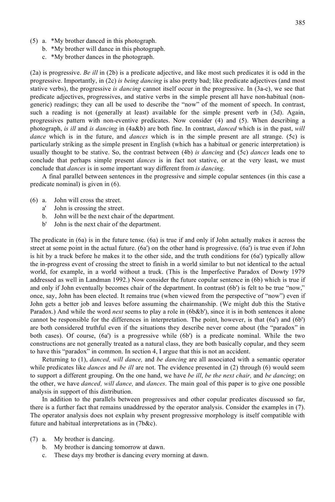- (5) a. \*My brother danced in this photograph.
	- b. \*My brother will dance in this photograph.
	- c. \*My brother dances in the photograph.

(2a) is progressive. *Be ill* in (2b) is a predicate adjective, and like most such predicates it is odd in the progressive. Importantly, in (2c) *is being dancing* is also pretty bad; like predicate adjectives (and most stative verbs), the progressive *is dancing* cannot itself occur in the progressive. In (3a-c), we see that predicate adjectives, progressives, and stative verbs in the simple present all have non-habitual (nongeneric) readings; they can all be used to describe the "now" of the moment of speech. In contrast, such a reading is not (generally at least) available for the simple present verb in (3d). Again, progressives pattern with non-eventive predicates. Now consider (4) and (5). When describing a photograph, *is ill* and *is dancing* in (4a&b) are both fine. In contrast, *danced* which is in the past, *will dance* which is in the future, and *dances* which is in the simple present are all strange. (5c) is particularly striking as the simple present in English (which has a habitual or generic interpretation) is usually thought to be stative. So, the contrast between (4b) *is dancing* and (5c) *dances* leads one to conclude that perhaps simple present *dances* is in fact not stative, or at the very least, we must conclude that *dances* is in some important way different from *is dancing*.

A final parallel between sentences in the progressive and simple copular sentences (in this case a predicate nominal) is given in (6).

- (6) a. John will cross the street.
	- a' John is crossing the street.
	- b. John will be the next chair of the department.
	- b' John is the next chair of the department.

The predicate in (6a) is in the future tense. (6a) is true if and only if John actually makes it across the street at some point in the actual future. (6a') on the other hand is progressive. (6a') is true even if John is hit by a truck before he makes it to the other side, and the truth conditions for (6a') typically allow the in-progress event of crossing the street to finish in a world similar to but not identical to the actual world, for example, in a world without a truck. (This is the Imperfective Paradox of Dowty 1979 addressed as well in Landman 1992.) Now consider the future copular sentence in (6b) which is true if and only if John eventually becomes chair of the department. In contrast (6b') is felt to be true "now," once, say, John has been elected. It remains true (when viewed from the perspective of "now") even if John gets a better job and leaves before assuming the chairmanship. (We might dub this the Stative Paradox.) And while the word *next* seems to play a role in (6b&b'), since it is in both sentences it alone cannot be responsible for the differences in interpretation. The point, however, is that (6a') and (6b') are both considered truthful even if the situations they describe never come about (the "paradox" in both cases). Of course, (6a') is a progressive while (6b') is a predicate nominal. While the two constructions are not generally treated as a natural class, they are both basically copular, and they seem to have this "paradox" in common. In section 4, I argue that this is not an accident.

Returning to (1), *danced, will dance,* and *be dancing* are all associated with a semantic operator while predicates like *dances* and *be ill* are not. The evidence presented in (2) through (6) would seem to support a different grouping. On the one hand, we have *be ill*, *be the next chair,* and *be dancing*; on the other, we have *danced, will dance,* and *dances*. The main goal of this paper is to give one possible analysis in support of this distribution.

In addition to the parallels between progressives and other copular predicates discussed so far, there is a further fact that remains unaddressed by the operator analysis. Consider the examples in (7). The operator analysis does not explain why present progressive morphology is itself compatible with future and habitual interpretations as in (7b&c).

- (7) a. My brother is dancing.
	- b. My brother is dancing tomorrow at dawn.
	- c. These days my brother is dancing every morning at dawn.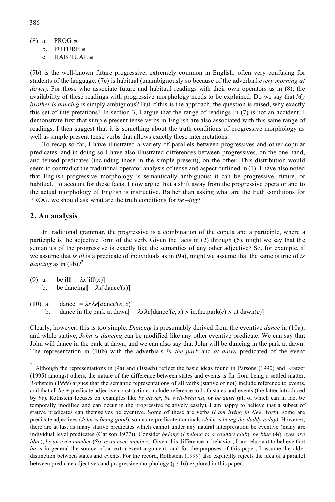- (8) a. PROG  $\phi$ b. FUTURE  $\phi$ 
	- c. HABITUAL  $\phi$

(7b) is the well-known future progressive, extremely common in English, often very confusing for students of the language. (7c) is habitual (unambiguously so because of the adverbial *every morning at dawn*). For those who associate future and habitual readings with their own operators as in (8), the availability of these readings with progressive morphology needs to be explained. Do we say that *My brother is dancing* is simply ambiguous? But if this is the approach, the question is raised, why exactly this set of interpretations? In section 3, I argue that the range of readings in (7) is not an accident. I demonstrate first that simple present tense verbs in English are also associated with this same range of readings. I then suggest that it is something about the truth conditions of progressive morphology as well as simple present tense verbs that allows exactly these interpretations.

To recap so far, I have illustrated a variety of parallels between progressives and other copular predicates, and in doing so I have also illustrated differences between progressives, on the one hand, and tensed predicates (including those in the simple present), on the other. This distribution would seem to contradict the traditional operator analysis of tense and aspect outlined in (1). I have also noted that English progressive morphology is semantically ambiguous; it can be progressive, future, or habitual. To account for these facts, I now argue that a shift away from the progressive operator and to the actual morphology of English is instructive. Rather than asking what are the truth conditions for PROG, we should ask what are the truth conditions for *be –ing*?

#### **2. An analysis**

In traditional grammar, the progressive is a combination of the copula and a participle, where a participle is the adjective form of the verb. Given the facts in (2) through (6), might we say that the semantics of the progressive is exactly like the semantics of any other adjective? So, for example, if we assume that *is ill* is a predicate of individuals as in (9a), might we assume that the same is true of *is dancing* as in  $(9b)$ ?<sup>2</sup>

- (9) a.  $||\mathbf{b}|||| = \lambda x[i] |x(x)|$ 
	- b.  $\|\text{be dancing}\| = \lambda x[\text{dance}(x)]$
- (10) a.  $\|\text{dance}\| = \lambda x \lambda e[\text{dance}'(e, x)]$ b.  $\|\text{dance in the park at } \text{dawn}\| = \lambda x \lambda e[\text{dance}'(e, x) \land \text{in.the park}(e) \land \text{at } \text{dawn}(e)]$

Clearly, however, this is too simple. *Dancing* is presumably derived from the eventive *dance* in (10a), and while stative, *John is dancing* can be modified like any other eventive predicate. We can say that John will dance in the park at dawn, and we can also say that John will be dancing in the park at dawn. The representation in (10b) with the adverbials *in the park* and *at dawn* predicated of the event

 <sup>2</sup> Although the representations in (9a) and (10a&b) reflect the basic ideas found in Parsons (1990) and Kratzer (1995) amongst others, the nature of the difference between states and events is far from being a settled matter. Rothstein (1999) argues that the semantic representations of all verbs (stative or not) include reference to events, and that all *be +* predicate adjective constructions include reference to both states and events (the latter introduced by *be*). Rothstein focuses on examples like *be clever*, *be well-behaved*, or *be quiet* (all of which can in fact be temporally modified and can occur in the progressive relatively easily). I am happy to believe that a subset of stative predicates can themselves be eventive. Some of these are verbs (*I am living in New York*), some are predicate adjectives (*John is being good*), some are predicate nominals (*John is being the daddy today).* However, there are at last as many stative predicates which cannot under any natural interpretation be eventive (many are individual level predicates (Carlson 1977)). Consider *belong* (*I belong to a country club*), *be blue* (*My eyes are blue*), *be an even number* (*Six is an even number*). Given this difference in behavior, I am reluctant to believe that *be* is in general the source of an extra event argument, and for the purposes of this paper, I assume the older distinction between states and events. For the record, Rothstein (1999) also explicitly rejects the idea of a parallel between predicate adjectives and progressive morphology (p.416) explored in this paper.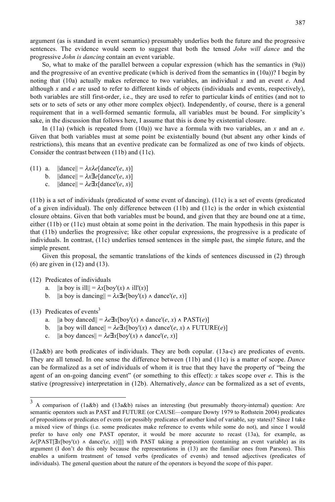argument (as is standard in event semantics) presumably underlies both the future and the progressive sentences. The evidence would seem to suggest that both the tensed *John will dance* and the progressive *John is dancing* contain an event variable.

So, what to make of the parallel between a copular expression (which has the semantics in (9a)) and the progressive of an eventive predicate (which is derived from the semantics in (10a))? I begin by noting that (10a) actually makes reference to two variables, an individual *x* and an event *e*. And although *x* and *e* are used to refer to different kinds of objects (individuals and events, respectively), both variables are still first-order, i.e., they are used to refer to particular kinds of entities (and not to sets or to sets of sets or any other more complex object). Independently, of course, there is a general requirement that in a well-formed semantic formula, all variables must be bound. For simplicity's sake, in the discussion that follows here, I assume that this is done by existential closure.

In (11a) (which is repeated from (10a)) we have a formula with two variables, an *x* and an *e*. Given that both variables must at some point be existentially bound (but absent any other kinds of restrictions), this means that an eventive predicate can be formalized as one of two kinds of objects. Consider the contrast between (11b) and (11c).

- (11) a.  $\|\text{dance}\| = \lambda x \lambda e[\text{dance}'(e, x)]$ 
	- b.  $\|\text{dance}\| = \lambda x \exists e[\text{dance}'(e, x)]$
	- c.  $||\text{dance}|| = \lambda e \exists x [\text{dance}'(e, x)]$

(11b) is a set of individuals (predicated of some event of dancing). (11c) is a set of events (predicated of a given individual). The only difference between (11b) and (11c) is the order in which existential closure obtains. Given that both variables must be bound, and given that they are bound one at a time, either (11b) or (11c) must obtain at some point in the derivation. The main hypothesis in this paper is that (11b) underlies the progressive; like other copular expressions, the progressive is a predicate of individuals. In contrast, (11c) underlies tensed sentences in the simple past, the simple future, and the simple present.

Given this proposal, the semantic translations of the kinds of sentences discussed in (2) through (6) are given in (12) and (13).

#### (12) Predicates of individuals

- a.  $\|a\|$  boy is ill $\| = \lambda x$ [boy'(x)  $\wedge$  ill'(x)]
- b.  $\|$ a boy is dancing $\| = \lambda x \exists e$ [boy'(*x*)  $\wedge$  dance'(*e*, *x*)]

 $(13)$  Predicates of events<sup>3</sup>

- a.  $\|a\|$  boy danced $\| = \lambda e \exists x [\text{boy}'(x) \land \text{dance}'(e, x) \land \text{PAST}(e)]$
- b.  $\|$ a boy will dance $\| = \lambda e \exists x [\text{boy}'(x) \land \text{dance}'(e, x) \land \text{FUTURE}(e)]$
- c.  $\|$ a boy dances $\| = \lambda e \exists x$ [boy'(*x*)  $\wedge$  dance'(*e*, *x*)]

(12a&b) are both predicates of individuals. They are both copular. (13a-c) are predicates of events. They are all tensed. In one sense the difference between (11b) and (11c) is a matter of scope. *Dance* can be formalized as a set of individuals of whom it is true that they have the property of "being the agent of an on-going dancing event" (or something to this effect): *x* takes scope over *e*. This is the stative (progressive) interpretation in (12b). Alternatively, *dance* can be formalized as a set of events,

 <sup>3</sup> A comparison of (1a&b) and (13a&b) raises an interesting (but presumably theory-internal) question: Are semantic operators such as PAST and FUTURE (or CAUSE—compare Dowty 1979 to Rothstein 2004) predicates of propositions or predicates of events (or possibly predicates of another kind of variable, say states)? Since I take a mixed view of things (i.e. some predicates make reference to events while some do not), and since I would prefer to have only one PAST operator, it would be more accurate to recast (13a), for example, as  $\lambda e[PAST]\exists x[boy'(x) \land \text{dance}'(e, x)]$ ] with PAST taking a proposition (containing an event variable) as its argument (I don't do this only because the representations in (13) are the familiar ones from Parsons). This enables a uniform treatment of tensed verbs (predicates of events) and tensed adjectives (predicates of individuals). The general question about the nature of the operators is beyond the scope of this paper.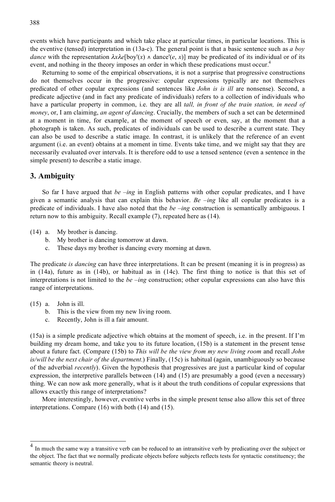events which have participants and which take place at particular times, in particular locations. This is the eventive (tensed) interpretation in (13a-c). The general point is that a basic sentence such as *a boy dance* with the representation  $\lambda x \lambda e$ [boy'(x)  $\lambda$  dance'(e, x)] may be predicated of its individual or of its event, and nothing in the theory imposes an order in which these predications must occur.<sup>4</sup>

Returning to some of the empirical observations, it is not a surprise that progressive constructions do not themselves occur in the progressive: copular expressions typically are not themselves predicated of other copular expressions (and sentences like *John is is ill* are nonsense). Second, a predicate adjective (and in fact any predicate of individuals) refers to a collection of individuals who have a particular property in common, i.e. they are all *tall, in front of the train station, in need of money*, or, I am claiming, *an agent of dancing*. Crucially, the members of such a set can be determined at a moment in time, for example, at the moment of speech or even, say, at the moment that a photograph is taken. As such, predicates of individuals can be used to describe a current state. They can also be used to describe a static image. In contrast, it is unlikely that the reference of an event argument (i.e. an event) obtains at a moment in time. Events take time, and we might say that they are necessarily evaluated over intervals. It is therefore odd to use a tensed sentence (even a sentence in the simple present) to describe a static image.

#### **3. Ambiguity**

So far I have argued that *be –ing* in English patterns with other copular predicates, and I have given a semantic analysis that can explain this behavior. *Be –ing* like all copular predicates is a predicate of individuals. I have also noted that the *be –ing* construction is semantically ambiguous. I return now to this ambiguity. Recall example (7), repeated here as (14).

- (14) a. My brother is dancing.
	- b. My brother is dancing tomorrow at dawn.
	- c. These days my brother is dancing every morning at dawn.

The predicate *is dancing* can have three interpretations. It can be present (meaning it is in progress) as in (14a), future as in (14b), or habitual as in (14c). The first thing to notice is that this set of interpretations is not limited to the *be –ing* construction; other copular expressions can also have this range of interpretations.

- (15) a. John is ill.
	- b. This is the view from my new living room.
	- c. Recently, John is ill a fair amount.

(15a) is a simple predicate adjective which obtains at the moment of speech, i.e. in the present. If I'm building my dream home, and take you to its future location, (15b) is a statement in the present tense about a future fact. (Compare (15b) to *This will be the view from my new living room* and recall *John is/will be the next chair of the department*.) Finally, (15c) is habitual (again, unambiguously so because of the adverbial *recently*). Given the hypothesis that progressives are just a particular kind of copular expression, the interpretive parallels between (14) and (15) are presumably a good (even a necessary) thing. We can now ask more generally, what is it about the truth conditions of copular expressions that allows exactly this range of interpretations?

More interestingly, however, eventive verbs in the simple present tense also allow this set of three interpretations. Compare (16) with both (14) and (15).

In much the same way a transitive verb can be reduced to an intransitive verb by predicating over the subject or the object. The fact that we normally predicate objects before subjects reflects tests for syntactic constituency; the semantic theory is neutral.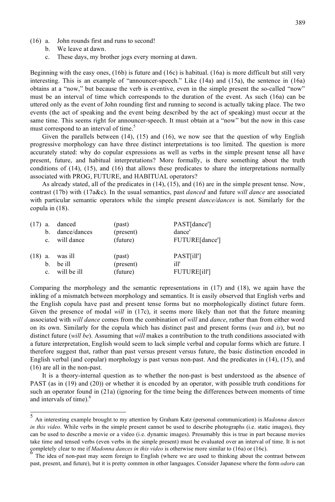- (16) a. John rounds first and runs to second!
	- b. We leave at dawn.
	- c. These days, my brother jogs every morning at dawn.

Beginning with the easy ones, (16b) is future and (16c) is habitual. (16a) is more difficult but still very interesting. This is an example of "announcer-speech." Like (14a) and (15a), the sentence in (16a) obtains at a "now," but because the verb is eventive, even in the simple present the so-called "now" must be an interval of time which corresponds to the duration of the event. As such (16a) can be uttered only as the event of John rounding first and running to second is actually taking place. The two events (the act of speaking and the event being described by the act of speaking) must occur at the same time. This seems right for announcer-speech. It must obtain at a "now" but the now in this case must correspond to an interval of time.<sup>5</sup>

Given the parallels between  $(14)$ ,  $(15)$  and  $(16)$ , we now see that the question of why English progressive morphology can have three distinct interpretations is too limited. The question is more accurately stated: why do copular expressions as well as verbs in the simple present tense all have present, future, and habitual interpretations? More formally, is there something about the truth conditions of (14), (15), and (16) that allows these predicates to share the interpretations normally associated with PROG, FUTURE, and HABITUAL operators?

As already stated, all of the predicates in (14), (15), and (16) are in the simple present tense. Now, contrast (17b) with (17a&c). In the usual semantics, past *danced* and future *will dance* are associated with particular semantic operators while the simple present *dance/dances* is not. Similarly for the copula in (18).

| $(17)$ a.      | danced         | (past)    | PAST[dance']         |
|----------------|----------------|-----------|----------------------|
| $\mathbf{b}$ . | dance/dances   | (present) | dance'               |
|                | c. will dance  | (future)  | FUTURE[dance']       |
| $(18)$ a.      | was ill        | (past)    | PAST[ill']           |
| $\mathbf{b}$ . | be ill         | (present) | ill'                 |
|                | c. will be ill | (future)  | <b>FUTURE</b> [ill'] |

Comparing the morphology and the semantic representations in (17) and (18), we again have the inkling of a mismatch between morphology and semantics. It is easily observed that English verbs and the English copula have past and present tense forms but no morphologically distinct future form. Given the presence of modal *will* in (17c), it seems more likely than not that the future meaning associated with *will dance* comes from the combination of *will* and *dance*, rather than from either word on its own. Similarly for the copula which has distinct past and present forms (*was* and *is*), but no distinct future (*will be*). Assuming that *will* makes a contribution to the truth conditions associated with a future interpretation, English would seem to lack simple verbal and copular forms which are future. I therefore suggest that, rather than past versus present versus future, the basic distinction encoded in English verbal (and copular) morphology is past versus non-past. And the predicates in (14), (15), and (16) are all in the non-past.

It is a theory-internal question as to whether the non-past is best understood as the absence of PAST (as in (19) and (20)) or whether it is encoded by an operator, with possible truth conditions for such an operator found in (21a) (ignoring for the time being the differences between moments of time and intervals of time).<sup>6</sup>

 <sup>5</sup> An interesting example brought to my attention by Graham Katz (personal communication) is *Madonna dances in this video*. While verbs in the simple present cannot be used to describe photographs (i.e. static images), they can be used to describe a movie or a video (i.e. dynamic images). Presumably this is true in part because movies take time and tensed verbs (even verbs in the simple present) must be evaluated over an interval of time. It is not completely clear to me if *Madonna dances in this video* is otherwise more similar to (16a) or (16c).<br><sup>6</sup> The idea of non-past may seem foreign to English (where we are used to thinking about the contrast between

past, present, and future), but it is pretty common in other languages. Consider Japanese where the form *odoru* can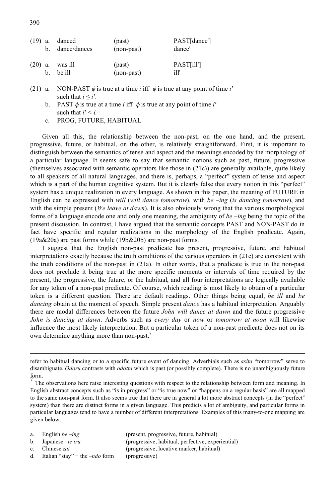|           |    | $(19)$ a. danced<br>b. dance/dances | (past)<br>(non-past) | PAST[dance']<br>dance' |
|-----------|----|-------------------------------------|----------------------|------------------------|
| $(20)$ a. | h. | was ill<br>be ill                   | (past)<br>(non-past) | PAST[ill']<br>ill'     |

- (21) a. NON-PAST  $\phi$  is true at a time *i* iff  $\phi$  is true at any point of time *i'* such that  $i \leq i'$ .
	- b. PAST  $\phi$  is true at a time *i* iff  $\phi$  is true at any point of time *i'* such that  $i' \leq i$ .
	- c. PROG, FUTURE, HABITUAL

Given all this, the relationship between the non-past, on the one hand, and the present, progressive, future, or habitual, on the other, is relatively straightforward. First, it is important to distinguish between the semantics of tense and aspect and the meanings encoded by the morphology of a particular language. It seems safe to say that semantic notions such as past, future, progressive (themselves associated with semantic operators like those in  $(21c)$ ) are generally available, quite likely to all speakers of all natural languages, and there is, perhaps, a "perfect" system of tense and aspect which is a part of the human cognitive system. But it is clearly false that every notion in this "perfect" system has a unique realization in every language. As shown in this paper, the meaning of FUTURE in English can be expressed with *will* (*will dance tomorrow*), with *be –ing* (*is dancing tomorrow*), and with the simple present (*We leave at dawn*). It is also obviously wrong that the various morphological forms of a language encode one and only one meaning, the ambiguity of *be –ing* being the topic of the present discussion. In contrast, I have argued that the semantic concepts PAST and NON-PAST do in fact have specific and regular realizations in the morphology of the English predicate. Again, (19a&20a) are past forms while (19b&20b) are non-past forms.

I suggest that the English non-past predicate has present, progressive, future, and habitual interpretations exactly because the truth conditions of the various operators in (21c) are consistent with the truth conditions of the non-past in (21a). In other words, that a predicate is true in the non-past does not preclude it being true at the more specific moments or intervals of time required by the present, the progressive, the future, or the habitual, and all four interpretations are logically available for any token of a non-past predicate. Of course, which reading is most likely to obtain of a particular token is a different question. There are default readings. Other things being equal, *be ill* and *be dancing* obtain at the moment of speech. Simple present *dance* has a habitual interpretation. Arguably there are modal differences between the future *John will dance at dawn* and the future progressive *John is dancing at dawn*. Adverbs such as *every day* or *now* or *tomorrow at noon* will likewise influence the most likely interpretation. But a particular token of a non-past predicate does not on its own determine anything more than non-past.<sup>7</sup>

- 
- 
- 
- d. Italian "stay" + the *–ndo* form (progressive)

a. English *be –ing* (present, progressive, future, habitual) b. Japanese *–te iru* (progressive, habitual, perfective, experiential) c. Chinese *zai* (progressive, locative marker, habitual)

refer to habitual dancing or to a specific future event of dancing. Adverbials such as *asita* "tomorrow" serve to disambiguate. *Odoru* contrasts with *odotta* which is past (or possibly complete). There is no unambiguously future form.

The observations here raise interesting questions with respect to the relationship between form and meaning. In English abstract concepts such as "is in progress" or "is true now" or "happens on a regular basis" are all mapped to the same non-past form. It also seems true that there are in general a lot more abstract concepts (in the "perfect" system) than there are distinct forms in a given language. This predicts a lot of ambiguity, and particular forms in particular languages tend to have a number of different interpretations. Examples of this many-to-one mapping are given below.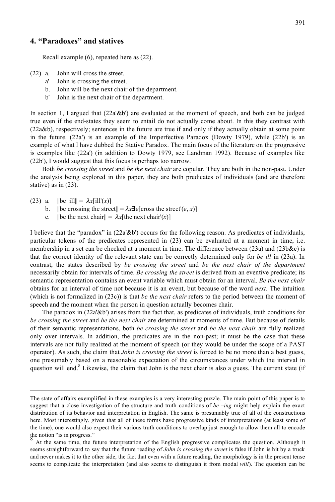#### **4. "Paradoxes" and statives**

Recall example (6), repeated here as (22).

- (22) a. John will cross the street.
	- a' John is crossing the street.
	- b. John will be the next chair of the department.
	- b' John is the next chair of the department.

In section 1, I argued that (22a'&b') are evaluated at the moment of speech, and both can be judged true even if the end-states they seem to entail do not actually come about. In this they contrast with (22a&b), respectively; sentences in the future are true if and only if they actually obtain at some point in the future. (22a') is an example of the Imperfective Paradox (Dowty 1979), while (22b') is an example of what I have dubbed the Stative Paradox. The main focus of the literature on the progressive is examples like (22a') (in addition to Dowty 1979, see Landman 1992). Because of examples like (22b'), I would suggest that this focus is perhaps too narrow.

Both *be crossing the street* and *be the next chair* are copular. They are both in the non-past. Under the analysis being explored in this paper, they are both predicates of individuals (and are therefore stative) as in (23).

- (23) a.  $\|\text{be ill}\| = \lambda x[\text{ill}'(x)]$ 
	- b. ||be crossing the street|| =  $\lambda x \exists e$ [cross the street'(*e*, *x*)]
	- c.  $\|\text{be the next chair}\| = \lambda x[\text{the next chair}](x)\|$

I believe that the "paradox" in (22a'&b') occurs for the following reason. As predicates of individuals, particular tokens of the predicates represented in (23) can be evaluated at a moment in time, i.e. membership in a set can be checked at a moment in time. The difference between  $(23a)$  and  $(23b\&c)$  is that the correct identity of the relevant state can be correctly determined only for *be ill* in (23a). In contrast, the states described by *be crossing the street* and *be the next chair of the department* necessarily obtain for intervals of time. *Be crossing the street* is derived from an eventive predicate; its semantic representation contains an event variable which must obtain for an interval. *Be the next chair* obtains for an interval of time not because it is an event, but because of the word *next*. The intuition (which is not formalized in (23c)) is that *be the next chair* refers to the period between the moment of speech and the moment when the person in question actually becomes chair.

The paradox in (22a'&b') arises from the fact that, as predicates of individuals, truth conditions for *be crossing the street* and *be the next chair* are determined at moments of time. But because of details of their semantic representations, both *be crossing the street* and *be the next chair* are fully realized only over intervals. In addition, the predicates are in the non-past; it must be the case that these intervals are not fully realized at the moment of speech (or they would be under the scope of a PAST operator). As such, the claim that *John is crossing the street* is forced to be no more than a best guess, one presumably based on a reasonable expectation of the circumstances under which the interval in question will end.<sup>8</sup> Likewise, the claim that John is the next chair is also a guess. The current state (if

The state of affairs exemplified in these examples is a very interesting puzzle. The main point of this paper is to suggest that a close investigation of the structure and truth conditions of *be –ing* might help explain the exact distribution of its behavior and interpretation in English. The same is presumably true of all of the constructions here. Most interestingly, given that all of these forms have progressive kinds of interpretations (at least some of the time), one would also expect their various truth conditions to overlap just enough to allow them all to encode the notion "is in progress."

<sup>8</sup> At the same time, the future interpretation of the English progressive complicates the question. Although it seems straightforward to say that the future reading of *John is crossing the street* is false if John is hit by a truck and never makes it to the other side, the fact that even with a future reading, the morphology is in the present tense seems to complicate the interpretation (and also seems to distinguish it from modal *will*). The question can be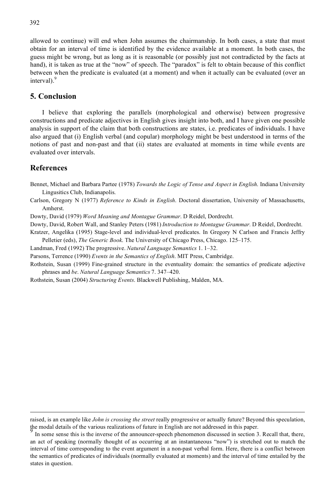allowed to continue) will end when John assumes the chairmanship. In both cases, a state that must obtain for an interval of time is identified by the evidence available at a moment. In both cases, the guess might be wrong, but as long as it is reasonable (or possibly just not contradicted by the facts at hand), it is taken as true at the "now" of speech. The "paradox" is felt to obtain because of this conflict between when the predicate is evaluated (at a moment) and when it actually can be evaluated (over an interval).<sup>9</sup>

#### **5. Conclusion**

I believe that exploring the parallels (morphological and otherwise) between progressive constructions and predicate adjectives in English gives insight into both, and I have given one possible analysis in support of the claim that both constructions are states, i.e. predicates of individuals. I have also argued that (i) English verbal (and copular) morphology might be best understood in terms of the notions of past and non-past and that (ii) states are evaluated at moments in time while events are evaluated over intervals.

#### **References**

Bennet, Michael and Barbara Partee (1978) *Towards the Logic of Tense and Aspect in English*. Indiana University Lingusitics Club, Indianapolis.

Carlson, Gregory N (1977) *Reference to Kinds in English*. Doctoral dissertation, University of Massachusetts, Amherst.

Dowty, David (1979) *Word Meaning and Montague Grammar*. D Reidel, Dordrecht.

Dowty, David, Robert Wall, and Stanley Peters (1981) *Introduction to Montague Grammar.* D Reidel, Dordrecht.

Kratzer, Angelika (1995) Stage-level and individual-level predicates. In Gregory N Carlson and Francis Jeffry Pelletier (eds), *The Generic Book*. The University of Chicago Press, Chicago. 125–175.

Landman, Fred (1992) The progressive. *Natural Language Semantics* 1. 1–32.

Parsons, Terrence (1990) *Events in the Semantics of English*. MIT Press, Cambridge.

Rothstein, Susan (1999) Fine-grained structure in the eventuality domain: the semantics of predicate adjective phrases and *be*. *Natural Language Semantics* 7. 347–420.

Rothstein, Susan (2004) *Structuring Events*. Blackwell Publishing, Malden, MA.

raised, is an example like *John is crossing the street* really progressive or actually future? Beyond this speculation, the modal details of the various realizations of future in English are not addressed in this paper.

In some sense this is the inverse of the announcer-speech phenomenon discussed in section 3. Recall that, there, an act of speaking (normally thought of as occurring at an instantaneous "now") is stretched out to match the interval of time corresponding to the event argument in a non-past verbal form. Here, there is a conflict between the semantics of predicates of individuals (normally evaluated at moments) and the interval of time entailed by the states in question.